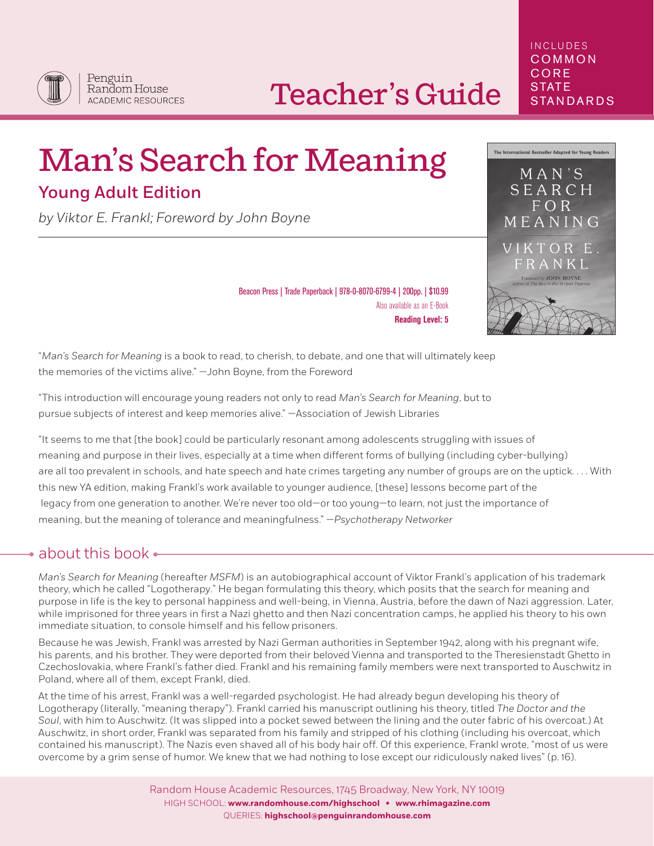## Teacher's Guide

# Man's Search for Meaning

### Young Adult Edition

*by Viktor E. Frankl; Foreword by John Boyne*

Also available as an E-Book **Reading Level: 5**

Beacon Press | Trade Paperback | 978-0-8070-6799-4 | 200pp. | \$10.99

"*Man's Search for Meaning* is a book to read, to cherish, to debate, and one that will ultimately keep the memories of the victims alive." —John Boyne, from the Foreword

"This introduction will encourage young readers not only to read *Man's Search for Meaning*, but to pursue subjects of interest and keep memories alive." —Association of Jewish Libraries

"It seems to me that [the book] could be particularly resonant among adolescents struggling with issues of meaning and purpose in their lives, especially at a time when different forms of bullying (including cyber-bullying) are all too prevalent in schools, and hate speech and hate crimes targeting any number of groups are on the uptick. . . . With this new YA edition, making Frankl's work available to younger audience, [these] lessons become part of the legacy from one generation to another. We're never too old—or too young—to learn, not just the importance of meaning, but the meaning of tolerance and meaningfulness." *—Psychotherapy Networker*

#### $\bullet$  about this book  $\bullet$

*Man's Search for Meaning* (hereafter *MSFM*) is an autobiographical account of Viktor Frankl's application of his trademark theory, which he called "Logotherapy." He began formulating this theory, which posits that the search for meaning and purpose in life is the key to personal happiness and well-being, in Vienna, Austria, before the dawn of Nazi aggression. Later, while imprisoned for three years in first a Nazi ghetto and then Nazi concentration camps, he applied his theory to his own immediate situation, to console himself and his fellow prisoners.

Because he was Jewish, Frankl was arrested by Nazi German authorities in September 1942, along with his pregnant wife, his parents, and his brother. They were deported from their beloved Vienna and transported to the Theresienstadt Ghetto in Czechoslovakia, where Frankl's father died. Frankl and his remaining family members were next transported to Auschwitz in Poland, where all of them, except Frankl, died.

At the time of his arrest, Frankl was a well-regarded psychologist. He had already begun developing his theory of Logotherapy (literally, "meaning therapy"). Frankl carried his manuscript outlining his theory, titled *The Doctor and the Soul*, with him to Auschwitz. (It was slipped into a pocket sewed between the lining and the outer fabric of his overcoat.) At Auschwitz, in short order, Frankl was separated from his family and stripped of his clothing (including his overcoat, which contained his manuscript). The Nazis even shaved all of his body hair off. Of this experience, Frankl wrote, "most of us were overcome by a grim sense of humor. We knew that we had nothing to lose except our ridiculously naked lives" (p. 16).

#### INCLUDES COMMON **CORE STATE STANDARDS**



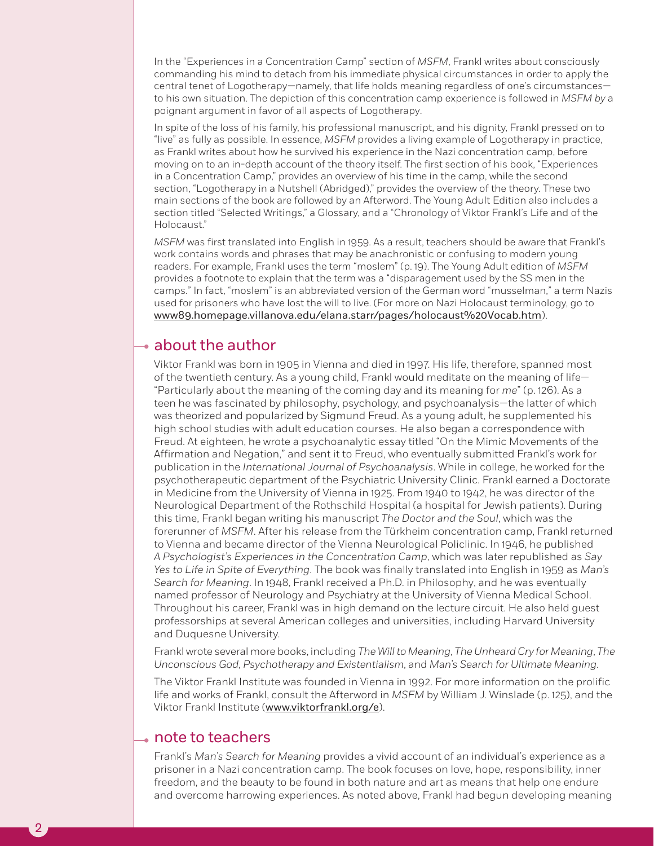In the "Experiences in a Concentration Camp" section of *MSFM*, Frankl writes about consciously commanding his mind to detach from his immediate physical circumstances in order to apply the central tenet of Logotherapy—namely, that life holds meaning regardless of one's circumstances to his own situation. The depiction of this concentration camp experience is followed in *MSFM by* a poignant argument in favor of all aspects of Logotherapy.

In spite of the loss of his family, his professional manuscript, and his dignity, Frankl pressed on to "live" as fully as possible. In essence, *MSFM* provides a living example of Logotherapy in practice, as Frankl writes about how he survived his experience in the Nazi concentration camp, before moving on to an in-depth account of the theory itself. The first section of his book, "Experiences in a Concentration Camp," provides an overview of his time in the camp, while the second section, "Logotherapy in a Nutshell (Abridged)," provides the overview of the theory. These two main sections of the book are followed by an Afterword. The Young Adult Edition also includes a section titled "Selected Writings," a Glossary, and a "Chronology of Viktor Frankl's Life and of the Holocaust."

*MSFM* was first translated into English in 1959. As a result, teachers should be aware that Frankl's work contains words and phrases that may be anachronistic or confusing to modern young readers. For example, Frankl uses the term "moslem" (p. 19). The Young Adult edition of *MSFM* provides a footnote to explain that the term was a "disparagement used by the SS men in the camps." In fact, "moslem" is an abbreviated version of the German word "musselman," a term Nazis used for prisoners who have lost the will to live. (For more on Nazi Holocaust terminology, go to www89.homepage.villanova.edu/elana.starr/pages/holocaust%20Vocab.htm).

#### $\rightarrow$  about the author

Viktor Frankl was born in 1905 in Vienna and died in 1997. His life, therefore, spanned most of the twentieth century. As a young child, Frankl would meditate on the meaning of life— "Particularly about the meaning of the coming day and its meaning for *me*" (p. 126). As a teen he was fascinated by philosophy, psychology, and psychoanalysis—the latter of which was theorized and popularized by Sigmund Freud. As a young adult, he supplemented his high school studies with adult education courses. He also began a correspondence with Freud. At eighteen, he wrote a psychoanalytic essay titled "On the Mimic Movements of the Affirmation and Negation," and sent it to Freud, who eventually submitted Frankl's work for publication in the *International Journal of Psychoanalysis*. While in college, he worked for the psychotherapeutic department of the Psychiatric University Clinic. Frankl earned a Doctorate in Medicine from the University of Vienna in 1925. From 1940 to 1942, he was director of the Neurological Department of the Rothschild Hospital (a hospital for Jewish patients). During this time, Frankl began writing his manuscript *The Doctor and the Soul*, which was the forerunner of *MSFM*. After his release from the Türkheim concentration camp, Frankl returned to Vienna and became director of the Vienna Neurological Policlinic. In 1946, he published *A Psychologist's Experiences in the Concentration Camp*, which was later republished as *Say Yes to Life in Spite of Everything*. The book was finally translated into English in 1959 as *Man's Search for Meaning*. In 1948, Frankl received a Ph.D. in Philosophy, and he was eventually named professor of Neurology and Psychiatry at the University of Vienna Medical School. Throughout his career, Frankl was in high demand on the lecture circuit. He also held guest professorships at several American colleges and universities, including Harvard University and Duquesne University.

Frankl wrote several more books, including *The Will to Meaning*, *The Unheard Cry for Meaning*, *The Unconscious God*, *Psychotherapy and Existentialism*, and *Man's Search for Ultimate Meaning*.

The Viktor Frankl Institute was founded in Vienna in 1992. For more information on the prolific life and works of Frankl, consult the Afterword in *MSFM* by William J. Winslade (p. 125), and the Viktor Frankl Institute (www.viktorfrankl.org/e).

#### **note to teachers**

Frankl's *Man's Search for Meaning* provides a vivid account of an individual's experience as a prisoner in a Nazi concentration camp. The book focuses on love, hope, responsibility, inner freedom, and the beauty to be found in both nature and art as means that help one endure and overcome harrowing experiences. As noted above, Frankl had begun developing meaning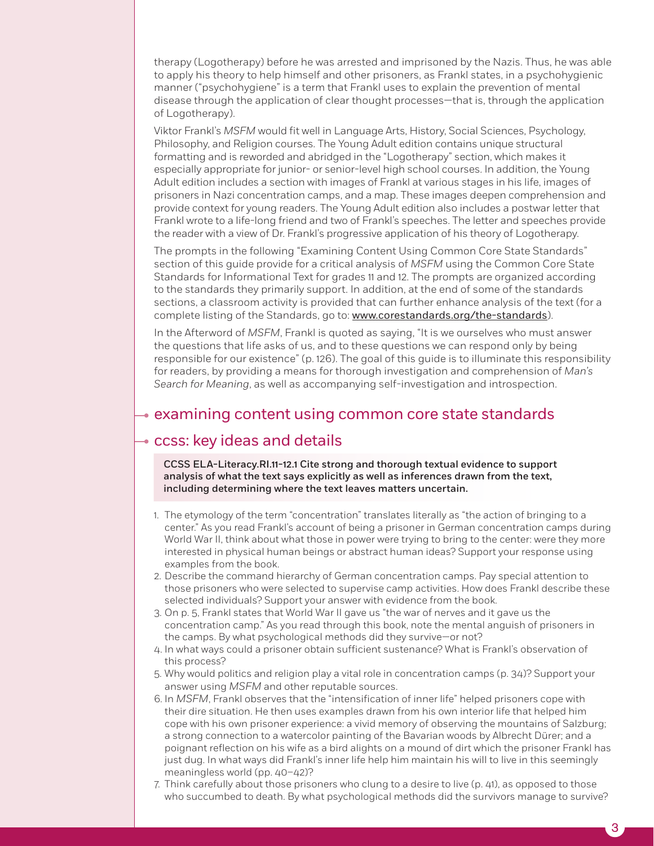therapy (Logotherapy) before he was arrested and imprisoned by the Nazis. Thus, he was able to apply his theory to help himself and other prisoners, as Frankl states, in a psychohygienic manner ("psychohygiene" is a term that Frankl uses to explain the prevention of mental disease through the application of clear thought processes—that is, through the application of Logotherapy).

Viktor Frankl's *MSFM* would fit well in Language Arts, History, Social Sciences, Psychology, Philosophy, and Religion courses. The Young Adult edition contains unique structural formatting and is reworded and abridged in the "Logotherapy" section, which makes it especially appropriate for junior- or senior-level high school courses. In addition, the Young Adult edition includes a section with images of Frankl at various stages in his life, images of prisoners in Nazi concentration camps, and a map. These images deepen comprehension and provide context for young readers. The Young Adult edition also includes a postwar letter that Frankl wrote to a life-long friend and two of Frankl's speeches. The letter and speeches provide the reader with a view of Dr. Frankl's progressive application of his theory of Logotherapy.

The prompts in the following "Examining Content Using Common Core State Standards" section of this guide provide for a critical analysis of *MSFM* using the Common Core State Standards for Informational Text for grades 11 and 12. The prompts are organized according to the standards they primarily support. In addition, at the end of some of the standards sections, a classroom activity is provided that can further enhance analysis of the text (for a complete listing of the Standards, go to: www.corestandards.org/the-standards).

In the Afterword of *MSFM*, Frankl is quoted as saying, "It is we ourselves who must answer the questions that life asks of us, and to these questions we can respond only by being responsible for our existence" (p. 126). The goal of this guide is to illuminate this responsibility for readers, by providing a means for thorough investigation and comprehension of *Man's Search for Meaning*, as well as accompanying self-investigation and introspection.

#### $\rightarrow$  examining content using common core state standards

#### $\rightarrow$  ccss: key ideas and details

CCSS ELA-Literacy.RI.11-12.1 Cite strong and thorough textual evidence to support analysis of what the text says explicitly as well as inferences drawn from the text, including determining where the text leaves matters uncertain.

- 1. The etymology of the term "concentration" translates literally as "the action of bringing to a center." As you read Frankl's account of being a prisoner in German concentration camps during World War II, think about what those in power were trying to bring to the center: were they more interested in physical human beings or abstract human ideas? Support your response using examples from the book.
- 2. Describe the command hierarchy of German concentration camps. Pay special attention to those prisoners who were selected to supervise camp activities. How does Frankl describe these selected individuals? Support your answer with evidence from the book.
- 3. On p. 5, Frankl states that World War II gave us "the war of nerves and it gave us the concentration camp." As you read through this book, note the mental anguish of prisoners in the camps. By what psychological methods did they survive—or not?
- 4. In what ways could a prisoner obtain sufficient sustenance? What is Frankl's observation of this process?
- 5. Why would politics and religion play a vital role in concentration camps (p. 34)? Support your answer using *MSFM* and other reputable sources.
- 6. In *MSFM*, Frankl observes that the "intensification of inner life" helped prisoners cope with their dire situation. He then uses examples drawn from his own interior life that helped him cope with his own prisoner experience: a vivid memory of observing the mountains of Salzburg; a strong connection to a watercolor painting of the Bavarian woods by Albrecht Dürer; and a poignant reflection on his wife as a bird alights on a mound of dirt which the prisoner Frankl has just dug. In what ways did Frankl's inner life help him maintain his will to live in this seemingly meaningless world (pp. 40–42)?
- 7. Think carefully about those prisoners who clung to a desire to live (p. 41), as opposed to those who succumbed to death. By what psychological methods did the survivors manage to survive?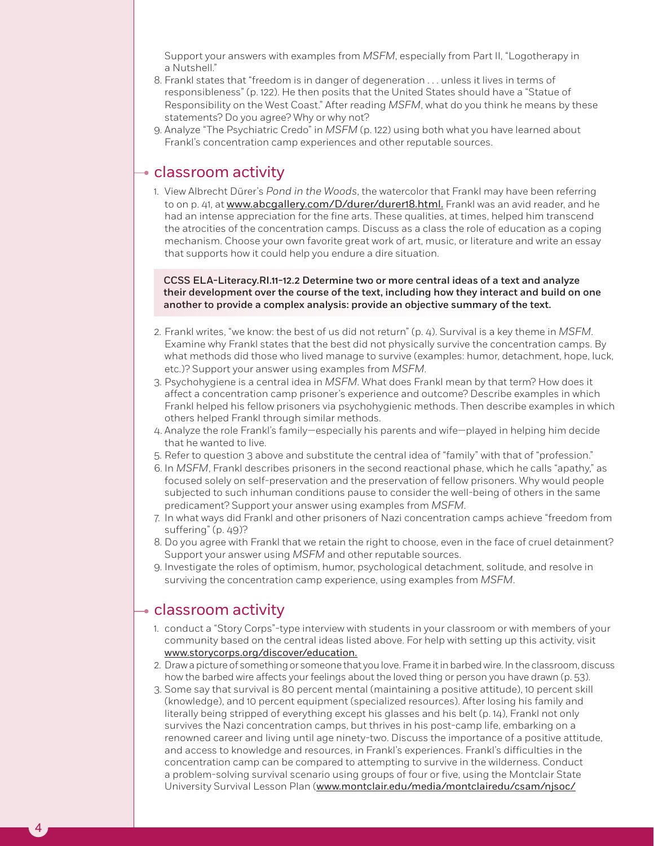Support your answers with examples from *MSFM*, especially from Part II, "Logotherapy in a Nutshell."

- 8. Frankl states that "freedom is in danger of degeneration . . . unless it lives in terms of responsibleness" (p. 122). He then posits that the United States should have a "Statue of Responsibility on the West Coast." After reading *MSFM*, what do you think he means by these statements? Do you agree? Why or why not?
- 9. Analyze "The Psychiatric Credo" in *MSFM* (p. 122) using both what you have learned about Frankl's concentration camp experiences and other reputable sources.

#### $\rightarrow$  classroom activity

1. View Albrecht Dürer's *Pond in the Woods*, the watercolor that Frankl may have been referring to on p. 41, at www.abcgallery.com/D/durer/durer18.html. Frankl was an avid reader, and he had an intense appreciation for the fine arts. These qualities, at times, helped him transcend the atrocities of the concentration camps. Discuss as a class the role of education as a coping mechanism. Choose your own favorite great work of art, music, or literature and write an essay that supports how it could help you endure a dire situation.

CCSS ELA-Literacy.RI.11-12.2 Determine two or more central ideas of a text and analyze their development over the course of the text, including how they interact and build on one another to provide a complex analysis: provide an objective summary of the text.

- 2. Frankl writes, "we know: the best of us did not return" (p. 4). Survival is a key theme in *MSFM*. Examine why Frankl states that the best did not physically survive the concentration camps. By what methods did those who lived manage to survive (examples: humor, detachment, hope, luck, etc.)? Support your answer using examples from *MSFM*.
- 3. Psychohygiene is a central idea in *MSFM*. What does Frankl mean by that term? How does it affect a concentration camp prisoner's experience and outcome? Describe examples in which Frankl helped his fellow prisoners via psychohygienic methods. Then describe examples in which others helped Frankl through similar methods.
- 4. Analyze the role Frankl's family—especially his parents and wife—played in helping him decide that he wanted to live.
- 5. Refer to question 3 above and substitute the central idea of "family" with that of "profession."
- 6. In *MSFM*, Frankl describes prisoners in the second reactional phase, which he calls "apathy," as focused solely on self-preservation and the preservation of fellow prisoners. Why would people subjected to such inhuman conditions pause to consider the well-being of others in the same predicament? Support your answer using examples from *MSFM*.
- 7. In what ways did Frankl and other prisoners of Nazi concentration camps achieve "freedom from suffering" (p. 49)?
- 8. Do you agree with Frankl that we retain the right to choose, even in the face of cruel detainment? Support your answer using *MSFM* and other reputable sources.
- 9. Investigate the roles of optimism, humor, psychological detachment, solitude, and resolve in surviving the concentration camp experience, using examples from *MSFM*.

#### $\rightarrow$  classroom activity

- 1. conduct a "Story Corps"-type interview with students in your classroom or with members of your community based on the central ideas listed above. For help with setting up this activity, visit www.storycorps.org/discover/education.
- 2. Draw a picture of something or someone that you love. Frame it in barbed wire. In the classroom, discuss how the barbed wire affects your feelings about the loved thing or person you have drawn (p. 53).
- 3. Some say that survival is 80 percent mental (maintaining a positive attitude), 10 percent skill (knowledge), and 10 percent equipment (specialized resources). After losing his family and literally being stripped of everything except his glasses and his belt (p. 14), Frankl not only survives the Nazi concentration camps, but thrives in his post-camp life, embarking on a renowned career and living until age ninety-two. Discuss the importance of a positive attitude, and access to knowledge and resources, in Frankl's experiences. Frankl's difficulties in the concentration camp can be compared to attempting to survive in the wilderness. Conduct a problem-solving survival scenario using groups of four or five, using the Montclair State University Survival Lesson Plan (www.montclair.edu/media/montclairedu/csam/njsoc/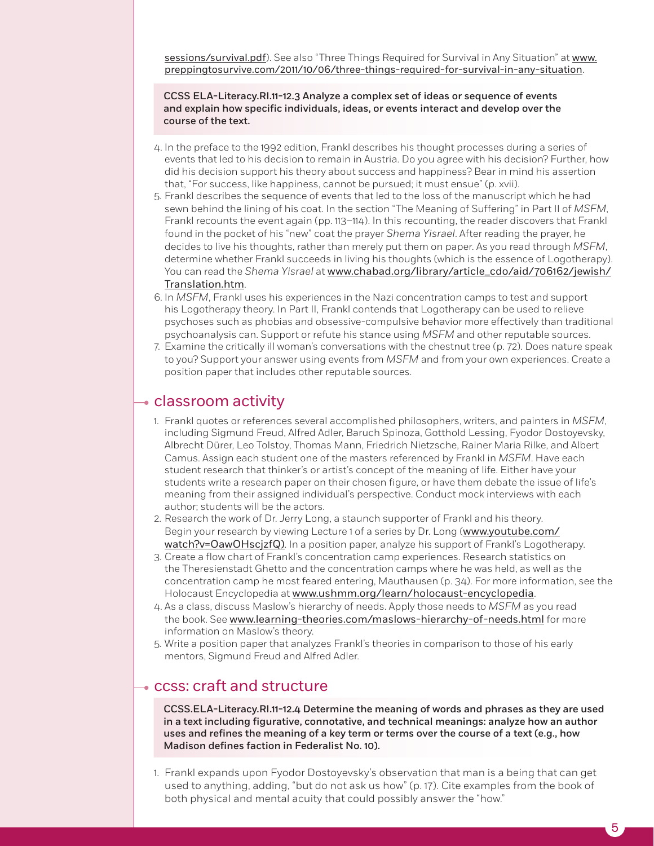sessions/survival.pdf). See also "Three Things Required for Survival in Any Situation" at www. preppingtosurvive.com/2011/10/06/three-things-required-for-survival-in-any-situation.

CCSS ELA-Literacy.RI.11-12.3 Analyze a complex set of ideas or sequence of events and explain how specific individuals, ideas, or events interact and develop over the course of the text.

- 4. In the preface to the 1992 edition, Frankl describes his thought processes during a series of events that led to his decision to remain in Austria. Do you agree with his decision? Further, how did his decision support his theory about success and happiness? Bear in mind his assertion that, "For success, like happiness, cannot be pursued; it must ensue" (p. xvii).
- 5. Frankl describes the sequence of events that led to the loss of the manuscript which he had sewn behind the lining of his coat. In the section "The Meaning of Suffering" in Part II of *MSFM*, Frankl recounts the event again (pp. 113–114). In this recounting, the reader discovers that Frankl found in the pocket of his "new" coat the prayer *Shema Yisrael*. After reading the prayer, he decides to live his thoughts, rather than merely put them on paper. As you read through *MSFM*, determine whether Frankl succeeds in living his thoughts (which is the essence of Logotherapy). You can read the *Shema Yisrael* at www.chabad.org/library/article\_cdo/aid/706162/jewish/ Translation.htm.
- 6. In *MSFM*, Frankl uses his experiences in the Nazi concentration camps to test and support his Logotherapy theory. In Part II, Frankl contends that Logotherapy can be used to relieve psychoses such as phobias and obsessive-compulsive behavior more effectively than traditional psychoanalysis can. Support or refute his stance using *MSFM* and other reputable sources.
- 7. Examine the critically ill woman's conversations with the chestnut tree (p. 72). Does nature speak to you? Support your answer using events from *MSFM* and from your own experiences. Create a position paper that includes other reputable sources.

#### $\rightarrow$  classroom activity

- 1. Frankl quotes or references several accomplished philosophers, writers, and painters in *MSFM*, including Sigmund Freud, Alfred Adler, Baruch Spinoza, Gotthold Lessing, Fyodor Dostoyevsky, Albrecht Dürer, Leo Tolstoy, Thomas Mann, Friedrich Nietzsche, Rainer Maria Rilke, and Albert Camus. Assign each student one of the masters referenced by Frankl in *MSFM*. Have each student research that thinker's or artist's concept of the meaning of life. Either have your students write a research paper on their chosen figure, or have them debate the issue of life's meaning from their assigned individual's perspective. Conduct mock interviews with each author; students will be the actors.
- 2. Research the work of Dr. Jerry Long, a staunch supporter of Frankl and his theory. Begin your research by viewing Lecture 1 of a series by Dr. Long (www.youtube.com/ watch?v=OawOHscjzfQ). In a position paper, analyze his support of Frankl's Logotherapy.
- 3. Create a flow chart of Frankl's concentration camp experiences. Research statistics on the Theresienstadt Ghetto and the concentration camps where he was held, as well as the concentration camp he most feared entering, Mauthausen (p. 34). For more information, see the Holocaust Encyclopedia at www.ushmm.org/learn/holocaust-encyclopedia.
- 4. As a class, discuss Maslow's hierarchy of needs. Apply those needs to *MSFM* as you read the book. See www.learning-theories.com/maslows-hierarchy-of-needs.html for more information on Maslow's theory.
- 5. Write a position paper that analyzes Frankl's theories in comparison to those of his early mentors, Sigmund Freud and Alfred Adler.

#### ccss: craft and structure

CCSS.ELA-Literacy.RI.11-12.4 Determine the meaning of words and phrases as they are used in a text including figurative, connotative, and technical meanings: analyze how an author uses and refines the meaning of a key term or terms over the course of a text (e.g., how Madison defines faction in Federalist No. 10).

1. Frankl expands upon Fyodor Dostoyevsky's observation that man is a being that can get used to anything, adding, "but do not ask us how" (p. 17). Cite examples from the book of both physical and mental acuity that could possibly answer the "how."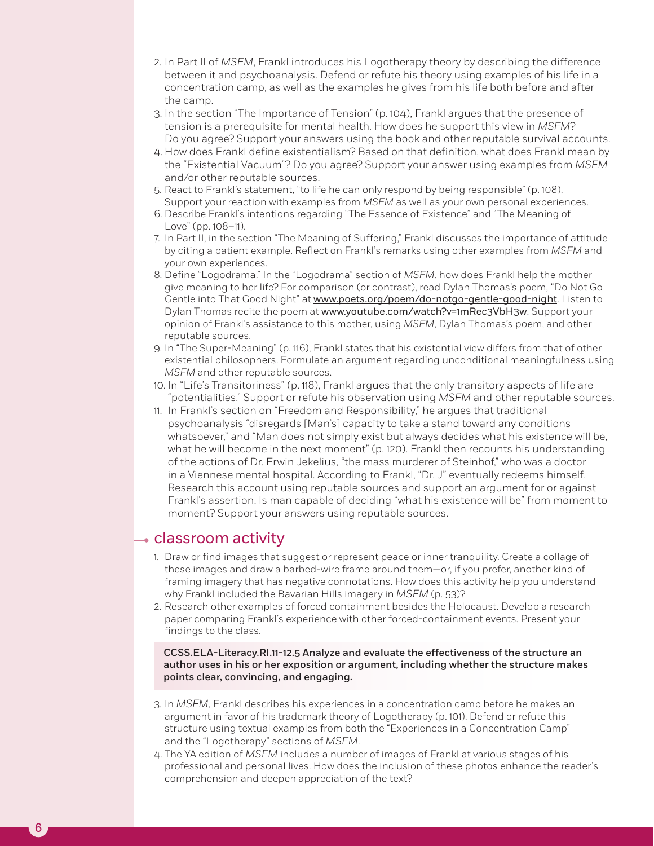- 2. In Part II of *MSFM*, Frankl introduces his Logotherapy theory by describing the difference between it and psychoanalysis. Defend or refute his theory using examples of his life in a concentration camp, as well as the examples he gives from his life both before and after the camp.
- 3. In the section "The Importance of Tension" (p. 104), Frankl argues that the presence of tension is a prerequisite for mental health. How does he support this view in *MSFM*? Do you agree? Support your answers using the book and other reputable survival accounts.
- 4. How does Frankl define existentialism? Based on that definition, what does Frankl mean by the "Existential Vacuum"? Do you agree? Support your answer using examples from *MSFM* and/or other reputable sources.
- 5. React to Frankl's statement, "to life he can only respond by being responsible" (p. 108). Support your reaction with examples from *MSFM* as well as your own personal experiences.
- 6. Describe Frankl's intentions regarding "The Essence of Existence" and "The Meaning of Love" (pp. 108–11).
- 7. In Part II, in the section "The Meaning of Suffering," Frankl discusses the importance of attitude by citing a patient example. Reflect on Frankl's remarks using other examples from *MSFM* and your own experiences.
- 8. Define "Logodrama." In the "Logodrama" section of *MSFM*, how does Frankl help the mother give meaning to her life? For comparison (or contrast), read Dylan Thomas's poem, "Do Not Go Gentle into That Good Night" at www.poets.org/poem/do-notgo-gentle-good-night. Listen to Dylan Thomas recite the poem at www.youtube.com/watch?v=1mRec3VbH3w. Support your opinion of Frankl's assistance to this mother, using *MSFM*, Dylan Thomas's poem, and other reputable sources.
- 9. In "The Super-Meaning" (p. 116), Frankl states that his existential view differs from that of other existential philosophers. Formulate an argument regarding unconditional meaningfulness using *MSFM* and other reputable sources.
- 10. In "Life's Transitoriness" (p. 118), Frankl argues that the only transitory aspects of life are "potentialities." Support or refute his observation using *MSFM* and other reputable sources.
- 11. In Frankl's section on "Freedom and Responsibility," he argues that traditional psychoanalysis "disregards [Man's] capacity to take a stand toward any conditions whatsoever," and "Man does not simply exist but always decides what his existence will be, what he will become in the next moment" (p. 120). Frankl then recounts his understanding of the actions of Dr. Erwin Jekelius, "the mass murderer of Steinhof," who was a doctor in a Viennese mental hospital. According to Frankl, "Dr. J" eventually redeems himself. Research this account using reputable sources and support an argument for or against Frankl's assertion. Is man capable of deciding "what his existence will be" from moment to moment? Support your answers using reputable sources.

#### $\bullet$  classroom activity

6

- 1. Draw or find images that suggest or represent peace or inner tranquility. Create a collage of these images and draw a barbed-wire frame around them—or, if you prefer, another kind of framing imagery that has negative connotations. How does this activity help you understand why Frankl included the Bavarian Hills imagery in *MSFM* (p. 53)?
- 2. Research other examples of forced containment besides the Holocaust. Develop a research paper comparing Frankl's experience with other forced-containment events. Present your findings to the class.

CCSS.ELA-Literacy.RI.11-12.5 Analyze and evaluate the effectiveness of the structure an author uses in his or her exposition or argument, including whether the structure makes points clear, convincing, and engaging.

- 3. In *MSFM*, Frankl describes his experiences in a concentration camp before he makes an argument in favor of his trademark theory of Logotherapy (p. 101). Defend or refute this structure using textual examples from both the "Experiences in a Concentration Camp" and the "Logotherapy" sections of *MSFM*.
- 4. The YA edition of *MSFM* includes a number of images of Frankl at various stages of his professional and personal lives. How does the inclusion of these photos enhance the reader's comprehension and deepen appreciation of the text?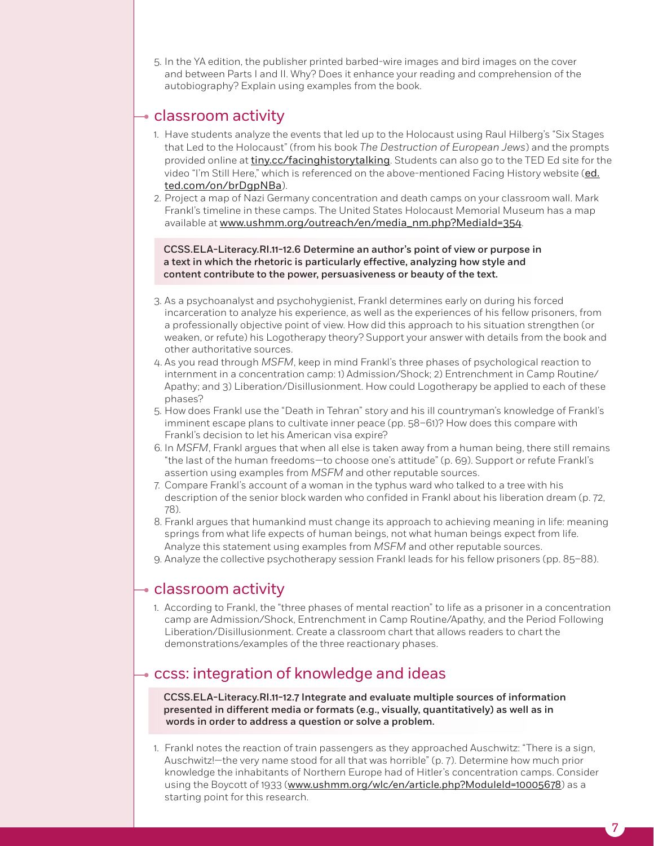5. In the YA edition, the publisher printed barbed-wire images and bird images on the cover and between Parts I and II. Why? Does it enhance your reading and comprehension of the autobiography? Explain using examples from the book.

#### $\rightarrow$  classroom activity

- 1. Have students analyze the events that led up to the Holocaust using Raul Hilberg's "Six Stages that Led to the Holocaust" (from his book *The Destruction of European Jews*) and the prompts provided online at tiny.cc/facinghistorytalking. Students can also go to the TED Ed site for the video "I'm Still Here," which is referenced on the above-mentioned Facing History website (ed. ted.com/on/brDgpNBa).
- 2. Project a map of Nazi Germany concentration and death camps on your classroom wall. Mark Frankl's timeline in these camps. The United States Holocaust Memorial Museum has a map available at www.ushmm.org/outreach/en/media\_nm.php?MediaId=354.

CCSS.ELA-Literacy.RI.11-12.6 Determine an author's point of view or purpose in a text in which the rhetoric is particularly effective, analyzing how style and content contribute to the power, persuasiveness or beauty of the text.

- 3. As a psychoanalyst and psychohygienist, Frankl determines early on during his forced incarceration to analyze his experience, as well as the experiences of his fellow prisoners, from a professionally objective point of view. How did this approach to his situation strengthen (or weaken, or refute) his Logotherapy theory? Support your answer with details from the book and other authoritative sources.
- 4. As you read through *MSFM*, keep in mind Frankl's three phases of psychological reaction to internment in a concentration camp: 1) Admission/Shock; 2) Entrenchment in Camp Routine/ Apathy; and 3) Liberation/Disillusionment. How could Logotherapy be applied to each of these phases?
- 5. How does Frankl use the "Death in Tehran" story and his ill countryman's knowledge of Frankl's imminent escape plans to cultivate inner peace (pp. 58–61)? How does this compare with Frankl's decision to let his American visa expire?
- 6. In *MSFM*, Frankl argues that when all else is taken away from a human being, there still remains "the last of the human freedoms—to choose one's attitude" (p. 69). Support or refute Frankl's assertion using examples from *MSFM* and other reputable sources.
- 7. Compare Frankl's account of a woman in the typhus ward who talked to a tree with his description of the senior block warden who confided in Frankl about his liberation dream (p. 72, 78).
- 8. Frankl argues that humankind must change its approach to achieving meaning in life: meaning springs from what life expects of human beings, not what human beings expect from life. Analyze this statement using examples from *MSFM* and other reputable sources.
- 9. Analyze the collective psychotherapy session Frankl leads for his fellow prisoners (pp. 85–88).

#### $\overline{\phantom{a}}$  classroom activity

1. According to Frankl, the "three phases of mental reaction" to life as a prisoner in a concentration camp are Admission/Shock, Entrenchment in Camp Routine/Apathy, and the Period Following Liberation/Disillusionment. Create a classroom chart that allows readers to chart the demonstrations/examples of the three reactionary phases.

#### $\rightarrow$  ccss: integration of knowledge and ideas

CCSS.ELA-Literacy.RI.11-12.7 Integrate and evaluate multiple sources of information presented in different media or formats (e.g., visually, quantitatively) as well as in words in order to address a question or solve a problem.

1. Frankl notes the reaction of train passengers as they approached Auschwitz: "There is a sign, Auschwitz!—the very name stood for all that was horrible" (p. 7). Determine how much prior knowledge the inhabitants of Northern Europe had of Hitler's concentration camps. Consider using the Boycott of 1933 (www.ushmm.org/wlc/en/article.php?ModuleId=10005678) as a starting point for this research.